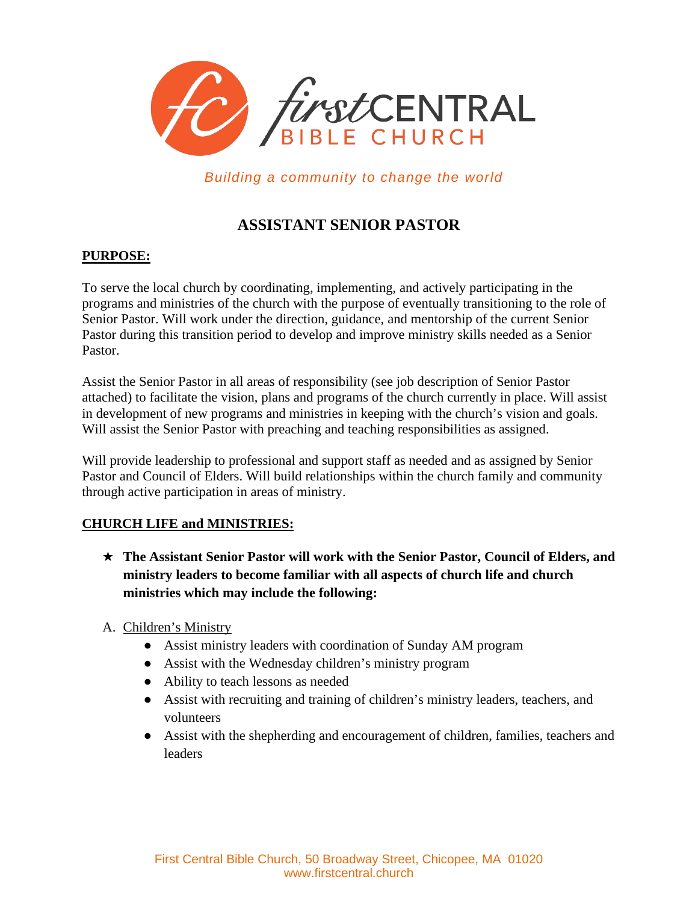

*Building a community to change the world*

# **ASSISTANT SENIOR PASTOR**

### **PURPOSE:**

To serve the local church by coordinating, implementing, and actively participating in the programs and ministries of the church with the purpose of eventually transitioning to the role of Senior Pastor. Will work under the direction, guidance, and mentorship of the current Senior Pastor during this transition period to develop and improve ministry skills needed as a Senior Pastor.

Assist the Senior Pastor in all areas of responsibility (see job description of Senior Pastor attached) to facilitate the vision, plans and programs of the church currently in place. Will assist in development of new programs and ministries in keeping with the church's vision and goals. Will assist the Senior Pastor with preaching and teaching responsibilities as assigned.

Will provide leadership to professional and support staff as needed and as assigned by Senior Pastor and Council of Elders. Will build relationships within the church family and community through active participation in areas of ministry.

#### **CHURCH LIFE and MINISTRIES:**

- ★ **The Assistant Senior Pastor will work with the Senior Pastor, Council of Elders, and ministry leaders to become familiar with all aspects of church life and church ministries which may include the following:**
- A. Children's Ministry
	- Assist ministry leaders with coordination of Sunday AM program
	- Assist with the Wednesday children's ministry program
	- Ability to teach lessons as needed
	- Assist with recruiting and training of children's ministry leaders, teachers, and volunteers
	- Assist with the shepherding and encouragement of children, families, teachers and leaders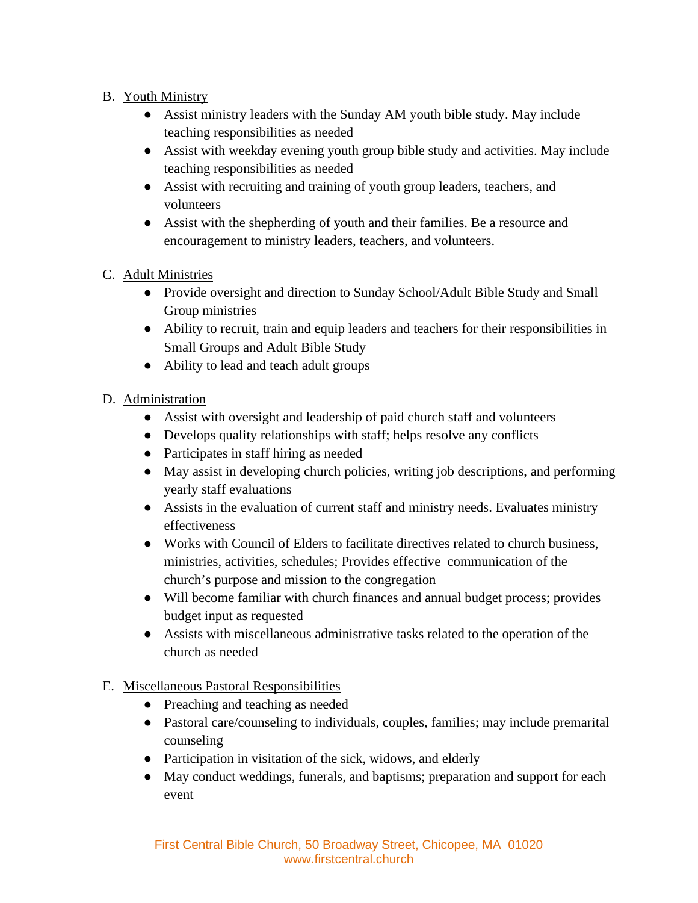### B. Youth Ministry

- Assist ministry leaders with the Sunday AM youth bible study. May include teaching responsibilities as needed
- Assist with weekday evening youth group bible study and activities. May include teaching responsibilities as needed
- Assist with recruiting and training of youth group leaders, teachers, and volunteers
- Assist with the shepherding of youth and their families. Be a resource and encouragement to ministry leaders, teachers, and volunteers.

## C. Adult Ministries

- Provide oversight and direction to Sunday School/Adult Bible Study and Small Group ministries
- Ability to recruit, train and equip leaders and teachers for their responsibilities in Small Groups and Adult Bible Study
- Ability to lead and teach adult groups

## D. Administration

- Assist with oversight and leadership of paid church staff and volunteers
- Develops quality relationships with staff; helps resolve any conflicts
- Participates in staff hiring as needed
- May assist in developing church policies, writing job descriptions, and performing yearly staff evaluations
- Assists in the evaluation of current staff and ministry needs. Evaluates ministry effectiveness
- Works with Council of Elders to facilitate directives related to church business, ministries, activities, schedules; Provides effective communication of the church's purpose and mission to the congregation
- Will become familiar with church finances and annual budget process; provides budget input as requested
- Assists with miscellaneous administrative tasks related to the operation of the church as needed

## E. Miscellaneous Pastoral Responsibilities

- Preaching and teaching as needed
- Pastoral care/counseling to individuals, couples, families; may include premarital counseling
- Participation in visitation of the sick, widows, and elderly
- May conduct weddings, funerals, and baptisms; preparation and support for each event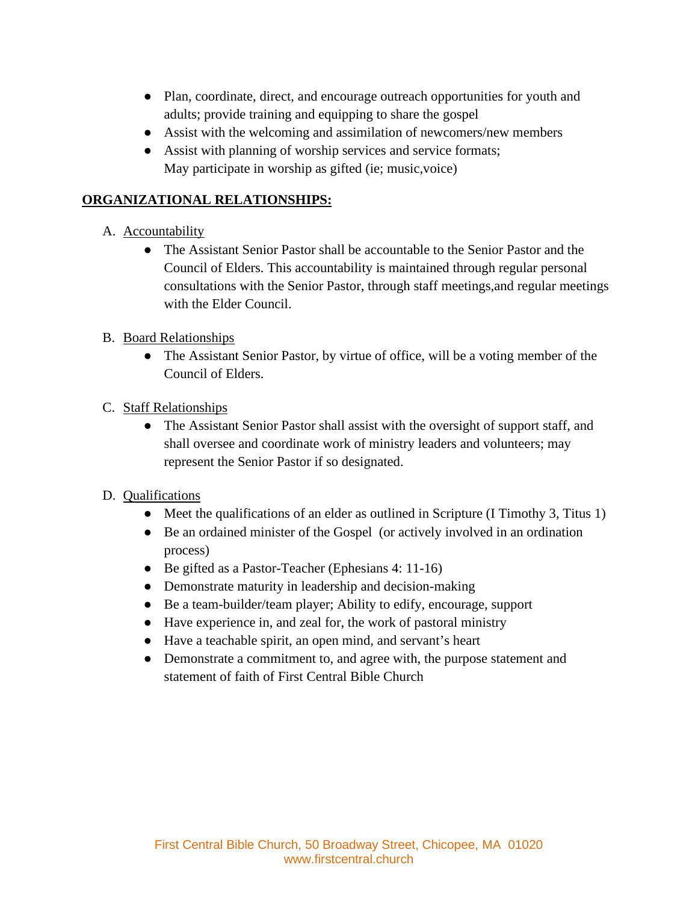- Plan, coordinate, direct, and encourage outreach opportunities for youth and adults; provide training and equipping to share the gospel
- Assist with the welcoming and assimilation of newcomers/new members
- Assist with planning of worship services and service formats; May participate in worship as gifted (ie; music,voice)

### **ORGANIZATIONAL RELATIONSHIPS:**

### A. Accountability

- The Assistant Senior Pastor shall be accountable to the Senior Pastor and the Council of Elders. This accountability is maintained through regular personal consultations with the Senior Pastor, through staff meetings,and regular meetings with the Elder Council.
- B. Board Relationships
	- The Assistant Senior Pastor, by virtue of office, will be a voting member of the Council of Elders.
- C. Staff Relationships
	- The Assistant Senior Pastor shall assist with the oversight of support staff, and shall oversee and coordinate work of ministry leaders and volunteers; may represent the Senior Pastor if so designated.
- D. Qualifications
	- Meet the qualifications of an elder as outlined in Scripture (I Timothy 3, Titus 1)
	- Be an ordained minister of the Gospel (or actively involved in an ordination process)
	- Be gifted as a Pastor-Teacher (Ephesians 4: 11-16)
	- Demonstrate maturity in leadership and decision-making
	- Be a team-builder/team player; Ability to edify, encourage, support
	- Have experience in, and zeal for, the work of pastoral ministry
	- Have a teachable spirit, an open mind, and servant's heart
	- Demonstrate a commitment to, and agree with, the purpose statement and statement of faith of First Central Bible Church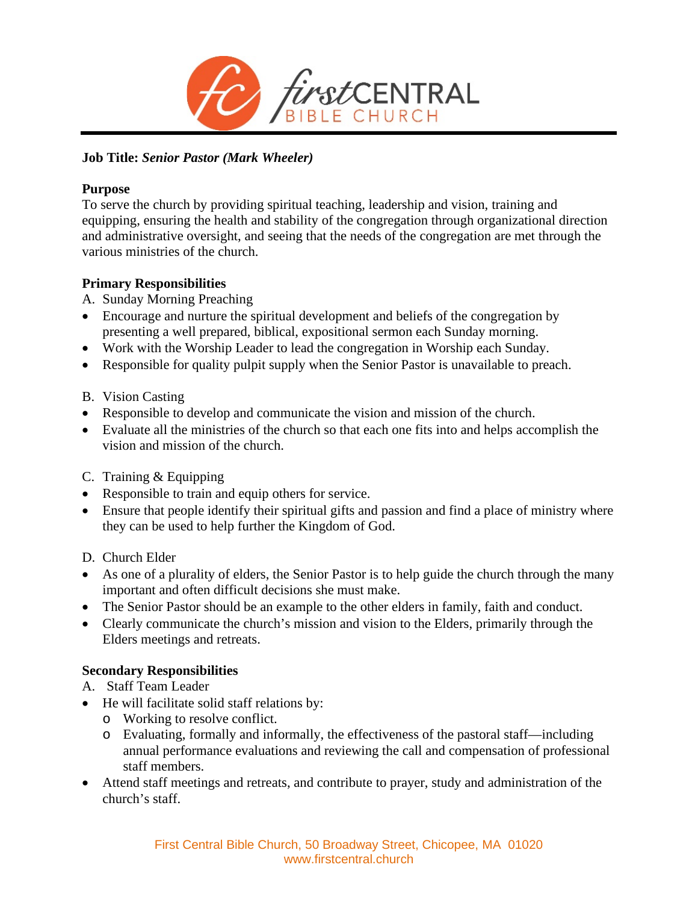

### **Job Title:** *Senior Pastor (Mark Wheeler)*

#### **Purpose**

To serve the church by providing spiritual teaching, leadership and vision, training and equipping, ensuring the health and stability of the congregation through organizational direction and administrative oversight, and seeing that the needs of the congregation are met through the various ministries of the church.

#### **Primary Responsibilities**

- A. Sunday Morning Preaching
- Encourage and nurture the spiritual development and beliefs of the congregation by presenting a well prepared, biblical, expositional sermon each Sunday morning.
- Work with the Worship Leader to lead the congregation in Worship each Sunday.
- Responsible for quality pulpit supply when the Senior Pastor is unavailable to preach.
- B. Vision Casting
- Responsible to develop and communicate the vision and mission of the church.
- Evaluate all the ministries of the church so that each one fits into and helps accomplish the vision and mission of the church.
- C. Training & Equipping
- Responsible to train and equip others for service.
- Ensure that people identify their spiritual gifts and passion and find a place of ministry where they can be used to help further the Kingdom of God.
- D. Church Elder
- As one of a plurality of elders, the Senior Pastor is to help guide the church through the many important and often difficult decisions she must make.
- The Senior Pastor should be an example to the other elders in family, faith and conduct.
- Clearly communicate the church's mission and vision to the Elders, primarily through the Elders meetings and retreats.

#### **Secondary Responsibilities**

- A. Staff Team Leader
- He will facilitate solid staff relations by:
	- o Working to resolve conflict.
	- o Evaluating, formally and informally, the effectiveness of the pastoral staff—including annual performance evaluations and reviewing the call and compensation of professional staff members.
- Attend staff meetings and retreats, and contribute to prayer, study and administration of the church's staff.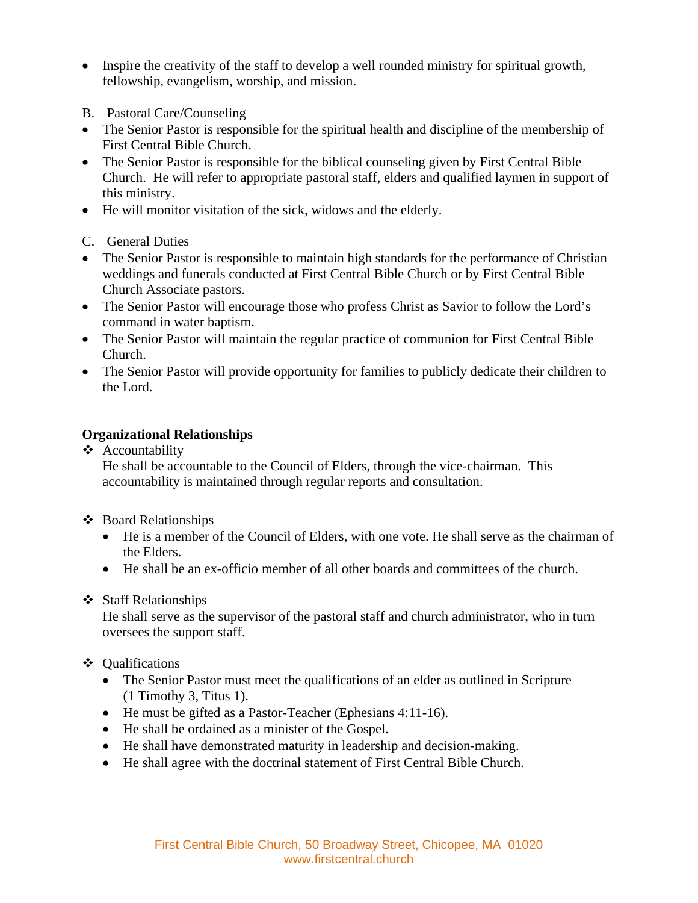- Inspire the creativity of the staff to develop a well rounded ministry for spiritual growth, fellowship, evangelism, worship, and mission.
- B. Pastoral Care/Counseling
- The Senior Pastor is responsible for the spiritual health and discipline of the membership of First Central Bible Church.
- The Senior Pastor is responsible for the biblical counseling given by First Central Bible Church. He will refer to appropriate pastoral staff, elders and qualified laymen in support of this ministry.
- He will monitor visitation of the sick, widows and the elderly.
- C. General Duties
- The Senior Pastor is responsible to maintain high standards for the performance of Christian weddings and funerals conducted at First Central Bible Church or by First Central Bible Church Associate pastors.
- The Senior Pastor will encourage those who profess Christ as Savior to follow the Lord's command in water baptism.
- The Senior Pastor will maintain the regular practice of communion for First Central Bible Church.
- The Senior Pastor will provide opportunity for families to publicly dedicate their children to the Lord.

### **Organizational Relationships**

❖ Accountability

He shall be accountable to the Council of Elders, through the vice-chairman. This accountability is maintained through regular reports and consultation.

- Board Relationships
	- He is a member of the Council of Elders, with one vote. He shall serve as the chairman of the Elders.
	- He shall be an ex-officio member of all other boards and committees of the church.

#### ❖ Staff Relationships

He shall serve as the supervisor of the pastoral staff and church administrator, who in turn oversees the support staff.

- Qualifications
	- The Senior Pastor must meet the qualifications of an elder as outlined in Scripture (1 Timothy 3, Titus 1).
	- He must be gifted as a Pastor-Teacher (Ephesians 4:11-16).
	- He shall be ordained as a minister of the Gospel.
	- He shall have demonstrated maturity in leadership and decision-making.
	- He shall agree with the doctrinal statement of First Central Bible Church.